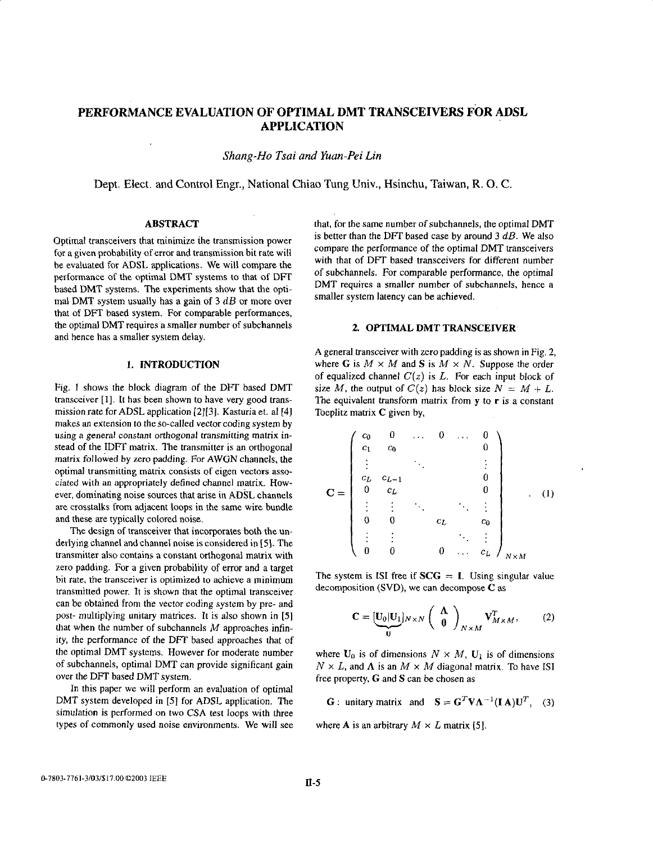# **PERFORMANCE EVALUATION OF OPTIMAL DMT TRANSCEIVERS FOR ADSL APPLICATION**

*Shung-Ho Tsui and Yuan-Pei Lin* 

Dept. Elect. and Control Engr., National Chiao **Tung** Univ., Hsinchu, Taiwan, R. 0. C.

## **ABSTRACT**

Optimal transceivers that minimize the transmission power for a given probability of error and transmission bit rate will be evaluated for ADSL applications. We will compare the performance of the optimal DMT systems to that of DFT based DMT systems. The experiments show that the optimal DMT system usually has a gain of **3** *dB* or more over that of DFT based system. For comparable performances, the optimal DMT requires a smaller number of subchannels and hence has a smaller system delay.

## **1. INTRODUCTION**

Fig. 1 shows the block diagram of the DFT based DMT transceiver **[I].** It has been shown to have very good transmission rate for ADSL application **[2][3].** Kasturiaet. a1 **[4]**  makes an extension to the so-called vector coding system by using a general constant orthogonal transmitting matrix instead of the IDFT matrix. The transmitter is an orthogonal matrix followed by zero padding. For AWGN channels, the optimal transmitting matrix consists of eigen vectors associated with an appropriately defined channel matrix. However, dominating noise sources that arise in **ADSL** channels are crosstalks from adjacent loops in the same wire bundle and these are typically colored noise.

The design of transceiver that incorporates both the underlying channel and channel noise is considered in *[5].* The transmitter also contains a constant orthogonal matrix with zero padding. For a given probability of error and a target bit rate, the transceiver is optimized to achieve a minimum transmitted power. It is shown that the optimal transceiver can be obtained from the vector coding system by pre- and post- multiplying unitary matrices. It is also shown in **[SI**  that when the number of subchannels *M* approaches infinity, the performance of the DFT based approaches that of the optimal DMT systems. However for moderate number of subchannels, optimal DMT can provide significant gain over the DFT based DMT system.

In this paper we will perform an evaluation of optimal DMT system developed in **[SI** for ADSL application. The simulation is performed on two **CSA** test loops with three types of commonly used noise environments. We will see that, for the same number of subchannels, the optimal DMT is better than the **DFI** based case by around **3** *dB.* We also compare the performance of the optimal DMT transceivers with that of DFT based transceivers for different number of subchannels. For comparable performance, the optimal DMT requires a smaller number of subchannels, hence a smaller system latency can be achieved.

#### **2. OPTIMAL DMT TRANSCEIVER**

**A** general transceiver with zero padding is as shown in Fig. **2,**  where G is  $M \times M$  and S is  $M \times N$ . Suppose the order of equalized channel  $C(z)$  is  $L$ . For each input block of size *M*, the output of  $C(z)$  has block size  $N = M + L$ . The equivalent transform matrix from **y** to **r** is a constant Toeplitz matrix **C** given by,

$$
\mathbf{C} = \begin{pmatrix} c_0 & 0 & \dots & 0 & \dots & 0 \\ c_1 & c_0 & & & & 0 \\ \vdots & & & & & \vdots \\ c_L & c_{L-1} & & & & 0 \\ 0 & c_L & & & & 0 \\ \vdots & \vdots & & & \ddots & \vdots \\ 0 & 0 & & & c_L & c_0 \\ \vdots & \vdots & & & & \ddots & \vdots \\ 0 & 0 & & & 0 & \dots & c_L \end{pmatrix}_{N \times M}
$$
 (1)

The system is ISI free if  $SCG = I$ . Using singular value decomposition (SVD), we can decompose *C* **as** 

$$
\mathbf{C} = [\underbrace{\mathbf{U}_0 | \mathbf{U}_1}_{\mathbf{U}}]_{N \times N} \begin{pmatrix} \mathbf{\Lambda} \\ \mathbf{0} \end{pmatrix}_{N \times M} \mathbf{V}_{M \times M}^T, \qquad (2)
$$

where  $U_0$  is of dimensions  $N \times M$ ,  $U_1$  is of dimensions  $N \times L$ , and  $\Lambda$  is an  $M \times M$  diagonal matrix. To have ISI free property, **G** and *S* can be chosen **as** 

**G** : unitary matrix and  $\mathbf{S} = \mathbf{G}^T \mathbf{V} \mathbf{\Lambda}^{-1} (\mathbf{I} \mathbf{A}) \mathbf{U}^T$ , (3)

where **A** is an arbitrary  $M \times L$  matrix [5].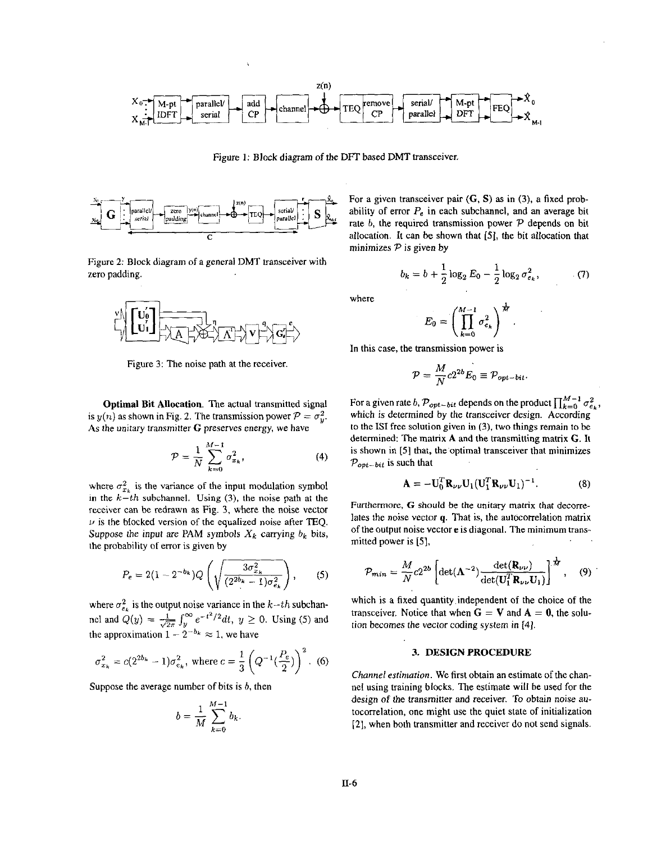

Figure 1: Block diagram of the DFT based DMT transceiver.



Figure **2:** Block diagram of a general DMT transceiver with zero padding.



Figure **3:** The noise path at the receiver

Optimal **Bit** Allocation. The actual transmitted signal is  $y(n)$  as shown in Fig. 2. The transmission power  $P = \sigma_n^2$ . **As** the unitary transmitter *G* preserves energy, we have

$$
\mathcal{P} = \frac{1}{N} \sum_{k=0}^{M-1} \sigma_{x_k}^2, \tag{4}
$$

where  $\sigma_{x_k}^2$  is the variance of the input modulation symbol in the  $k-th$  subchannel. Using (3), the noise path at the receiver can be redrawn as Fig. 3, where the noise vector  $\nu$  is the blocked version of the equalized noise after TEQ. Suppose the input are PAM symbols  $X_k$  carrying  $b_k$  bits, the probability of error **is** given by *P*<sub>=</sub>  $\frac{1}{N}$  *C*<sub>2</sub> *P*<sub>=</sub> *A*<sub>2</sub> *C*<sub>2</sub> *C*<sub>2</sub> *C*<sub>2</sub> *C*<sub>2</sub> *C*<sub>2</sub> *C*<sub>2</sub> *C*<sub>2</sub> *C*<sub>2</sub> *C*<sub>2</sub> *C*<sub>2</sub> *C*<sub>2</sub> *C*<sub>2</sub> *C*<sub>2</sub> *C*<sub>2</sub> *C*<sub>2</sub> *C*<sub>2</sub> *C*<sub>2</sub> *C*<sub>2</sub> *C*<sub>2</sub> *C*<sub>2</sub> *C*<sub>2</sub> *C*<sub>2</sub> *C*<sub>2</sub> *C*<sub>2</sub> *C*<sub>2</sub> *C*<sub>2</sub>

$$
P_e = 2(1 - 2^{-b_k})Q\left(\sqrt{\frac{3\sigma_{x_k}^2}{(2^{2b_k} - 1)\sigma_{e_k}^2}}\right), \qquad (5)
$$

where  $\sigma_{e_k}^2$  is the output noise variance in the *k*-*th* subchan-<br>nel and  $Q(y) = \frac{1}{\sqrt{2\pi}} \int_y^{\infty} e^{-t^2/2} dt$ ,  $y \ge 0$ . Using (5) and the approximation  $1 - 2^{-b_k} \approx 1$ , we have

$$
\sigma_{x_k}^2 = c(2^{2b_k} - 1)\sigma_{e_k}^2
$$
, where  $c = \frac{1}{3}\left(Q^{-1}(\frac{P_e}{2})\right)^2$ . (6)

Suppose the average number of bits is *b,* then

$$
b = \frac{1}{M} \sum_{k=0}^{M-1} b_k.
$$

For a given transceiver pair *(G, S)* **as** in **(3),** a fixed probability of error  $P_e$  in each subchannel, and an average bit  $\frac{\text{parallel of the probability of error } P_e \text{ in each subchannel, and an average bit rate } b, \text{ the required transmission power } P \text{ depends on bit allocation. It can be shown that [5], the bit allocation that$ allocation. It can he shown that **(51,** the hit allocation that minimizes **Pis** given by

$$
b_k = b + \frac{1}{2} \log_2 E_0 - \frac{1}{2} \log_2 \sigma_{e_k}^2, \tag{7}
$$

where

$$
E_0=\left(\prod_{k=0}^{M-1}\sigma_{e_k}^2\right)^{\frac{1}{M}}.
$$

In this case, the transmission power is

$$
\mathcal{P} = \frac{M}{N} c 2^{2b} E_0 \equiv \mathcal{P}_{opt-bit}.
$$

For a given rate *b,*  $\mathcal{P}_{opt-bit}$  depends on the product  $\prod_{k=0}^{M-1} \sigma_{e_k}^2$ , which *is* determined by the transceiver design. According to the **IS1** free solution given in **(3).** two things remain to he determined: The matrix A and the transmitting matrix *G.* It is shown in *[5]* that, the optimal transceiver that minimizes  $P_{opt-bit}$  is such that

$$
\mathbf{A} = -\mathbf{U}_0^T \mathbf{R}_{\nu\nu} \mathbf{U}_1 (\mathbf{U}_1^T \mathbf{R}_{\nu\nu} \mathbf{U}_1)^{-1}.
$$
 (8)

Furthermore, G should be the unitary matrix that decorrelates the noise vector *q.* That is, the autocorrelation matrix of the output noise vector **e** is diagonal. The minimum transmitted power is **[51,** 

$$
P_{min} = \frac{M}{N} c 2^{2b} \left[ \det(\mathbf{\Lambda}^{-2}) \frac{\det(\mathbf{R}_{\nu\nu})}{\det(\mathbf{U}_{1}^{T} \mathbf{R}_{\nu\nu} \mathbf{U}_{1})} \right]^{\frac{1}{M}}, \quad (9)
$$

which is a fixed quantity.independent of the choice of the transceiver. Notice that when  $G = V$  and  $A = 0$ , the solution becomes the vector coding system in [4].

### **3. DESIGN PROCEDURE**

*Channel estimation.* We first obtain an estimate of the channel using training blocks. The estimate will be used for the design of the transmitter and receiver. To obtain noise autocorrelation, one might use the quiet state of initialization **[2],** when both transmitter and receiver do not send signals.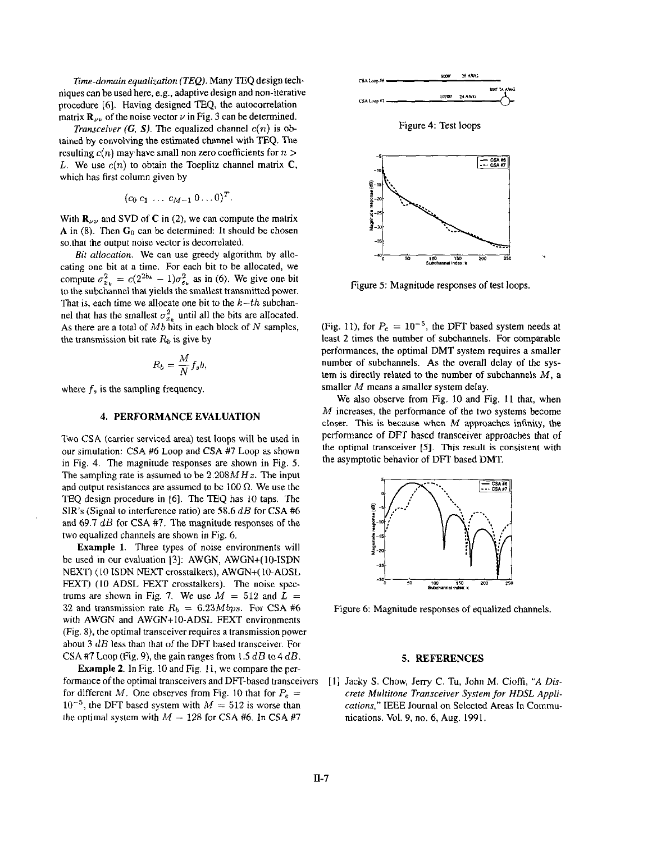*Time-domain equalization (TEQ).* Many TEQ design techniques can be used here, **e.g.,** adaptive design and non-iterative procedure [6]. Having designed TEQ, the autocorrelation matrix  $\mathbf{R}_{\nu\nu}$  of the noise vector  $\nu$  in Fig. 3 can be determined.

*Transceiver (G, S).* The equalized channel  $c(n)$  is obtained by convolving the estimated channel with TEQ. The resulting  $c(n)$  may have small non zero coefficients for  $n >$ *L.* We use  $c(n)$  to obtain the Toeplitz channel matrix **C**, which has first column given by

$$
(c_0 c_1 \ldots c_{M-1} 0 \ldots 0)^T.
$$

With  $\mathbf{R}_{\nu\nu}$  and SVD of C in (2), we can compute the matrix **A** in (8). Then **Go** can be determined: It should be chosen so.that the output noise vector is decorrelated.

*Bit* allocation. We can use greedy algorithm by allocating one bit at a time. For each bit to be allocated, we compute  $\sigma_{x_k}^2 = c(2^{2b_k} - 1)\sigma_{\epsilon_k}^2$  as in (6). We give one bit to the subchannel that yields the smallest transmitted power. That is, each time we allocate one bit to the  $k-th$  subchannel that has the smallest  $\sigma_{x_k}^2$  until all the bits are allocated. As there are a total of *Mb* bits in each block of N samples, the transmission bit rate  $R_b$  is give by  $R_b = \frac{M}{N} f_s b$ ,

$$
R_b = \frac{M}{N} f_s b,
$$

where  $f_s$  is the sampling frequency.

## **4. PERFORMANCE EVALUATION**

Two CSA (carrier serviced area) test loops will be used in our simulation: CSA #6 Loop and CSA **#7** Loop as shown in Fig. 4. The magnitude responses are shown in Fig. *5.*  The sampling rate **is** assumed to be *2.208MHz.* The input and output resistances are assumed to be 100  $\Omega$ . We use the TEQ design procedure in [6]. The TEQ has 10 taps. The SIR'S (Signal to interference ratio) are *58.6* dB for CSA *#6*  and *69.7* dB for CSA #7. The magnitude responses of the two equalized channels are shown in Fig. 6.

**Example 1.** Three types of noise environments will be used in our evaluation **[3]:** AWGN, AWGN+(lO-ISDN NEXT) (IO ISDN NEXT crosstalkers), AWGN+( 10-ADSL FEXT) (10 ADSL FEXT crosstalkers). The noise spectrums are shown in Fig. 7. We use  $M = 512$  and  $L =$ 32 and transmission rate  $R_b = 6.23Mbps$ . For CSA #6 with AWGN and AWGN+IO-ADSL FEXT environments (Fig. 8). the optimal transceiver requires a transmission power about 3 dB less than that of the DFT based transceiver. For CSA #7 Loop (Fig. 9), the gain ranges from  $1.5$  dB to  $4$  dB.

**Example 2.** In Fig. IO and Fig. **1** I, we compare the performance of the optimal transceivers and DFT-based transceivers for different *M*. One observes from Fig. 10 that for  $P_e$  =  $10^{-5}$ , the DFT based system with  $M = 512$  is worse than the optimal system with  $M = 128$  for CSA #6. In CSA #7



Figure **4:** Test loops



Figure *5:* Magnitude responses of test loops.

(Fig. 11), for  $P_e = 10^{-5}$ , the DFT based system needs at least *2* times the number of subchannels. For comparable performances, the optimal DMT system requires a smaller number of subchannels. **As** the overall delay of the system **is** directly related to the number of subchannels *M,* a smaller *M* means a smaller system delay.

We also observe from Fig. IO and Fig. **11** that, when *M* increases, the performance of the two systems become closer. This **is** because when *M* approaches infinity, the performance of DFT based transceiver approaches that of the optimal transceiver *[5].* **This** result **is** consistent with the asymptotic behavior of DFT based DMT.



Figure 6: Magnitude responses of equalized channels.

## **5. REFERENCES**

**[I]** Jacky *S.* Chow, Jerry C. Tu, John M. Cioffi, *"A Discrete Multitone Transceiver System for HDSL Appli*cations," IEEE Journal on Selected Areas In Communications. Vol. 9, no. 6, **Aug. 1991.**